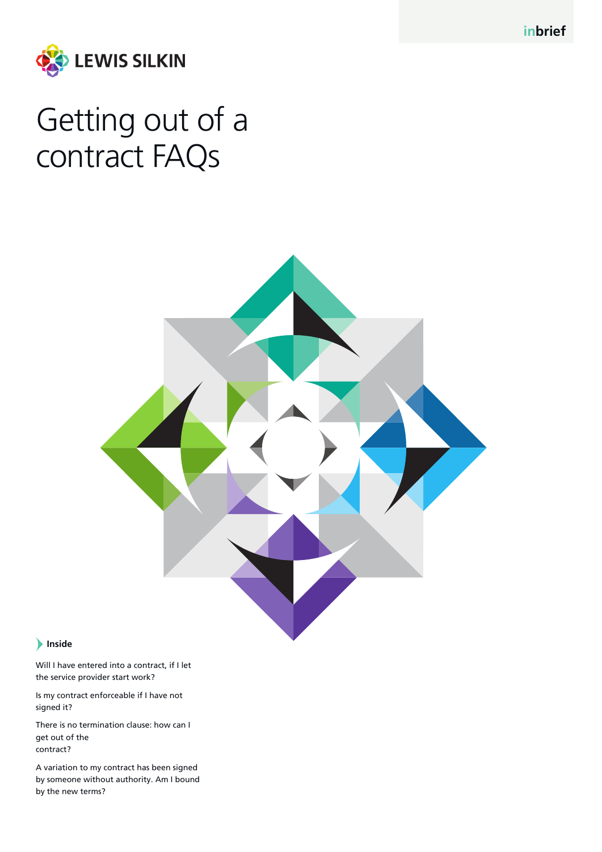**inbrief**



# Getting out of a contract FAQs



## **Inside**

Will I have entered into a contract, if I let the service provider start work?

Is my contract enforceable if I have not signed it?

There is no termination clause: how can I get out of the contract?

A variation to my contract has been signed by someone without authority. Am I bound by the new terms?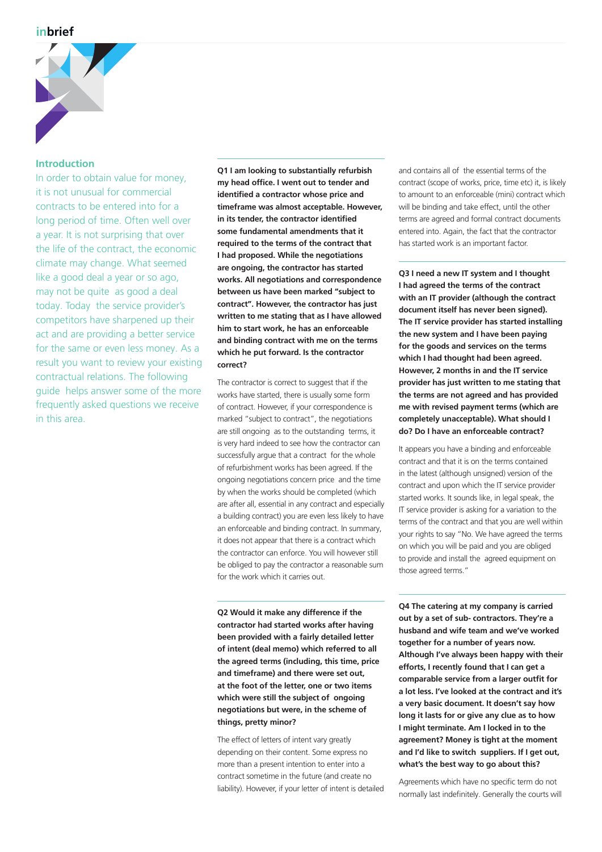

#### **Introduction**

In order to obtain value for money, it is not unusual for commercial contracts to be entered into for a long period of time. Often well over a year. It is not surprising that over the life of the contract, the economic climate may change. What seemed like a good deal a year or so ago, may not be quite as good a deal today. Today the service provider's competitors have sharpened up their act and are providing a better service for the same or even less money. As a result you want to review your existing contractual relations. The following guide helps answer some of the more frequently asked questions we receive in this area.

**Q1 I am looking to substantially refurbish my head office. I went out to tender and identified a contractor whose price and timeframe was almost acceptable. However, in its tender, the contractor identified some fundamental amendments that it required to the terms of the contract that I had proposed. While the negotiations are ongoing, the contractor has started works. All negotiations and correspondence between us have been marked "subject to contract". However, the contractor has just written to me stating that as I have allowed him to start work, he has an enforceable and binding contract with me on the terms which he put forward. Is the contractor correct?**

The contractor is correct to suggest that if the works have started, there is usually some form of contract. However, if your correspondence is marked "subject to contract", the negotiations are still ongoing as to the outstanding terms, it is very hard indeed to see how the contractor can successfully argue that a contract for the whole of refurbishment works has been agreed. If the ongoing negotiations concern price and the time by when the works should be completed (which are after all, essential in any contract and especially a building contract) you are even less likely to have an enforceable and binding contract. In summary, it does not appear that there is a contract which the contractor can enforce. You will however still be obliged to pay the contractor a reasonable sum for the work which it carries out.

**Q2 Would it make any difference if the contractor had started works after having been provided with a fairly detailed letter of intent (deal memo) which referred to all the agreed terms (including, this time, price and timeframe) and there were set out, at the foot of the letter, one or two items which were still the subject of ongoing negotiations but were, in the scheme of things, pretty minor?**

The effect of letters of intent vary greatly depending on their content. Some express no more than a present intention to enter into a contract sometime in the future (and create no liability). However, if your letter of intent is detailed

and contains all of the essential terms of the contract (scope of works, price, time etc) it, is likely to amount to an enforceable (mini) contract which will be binding and take effect, until the other terms are agreed and formal contract documents entered into. Again, the fact that the contractor has started work is an important factor.

**Q3 I need a new IT system and I thought I had agreed the terms of the contract with an IT provider (although the contract document itself has never been signed). The IT service provider has started installing the new system and I have been paying for the goods and services on the terms which I had thought had been agreed. However, 2 months in and the IT service provider has just written to me stating that the terms are not agreed and has provided me with revised payment terms (which are completely unacceptable). What should I do? Do I have an enforceable contract?**

It appears you have a binding and enforceable contract and that it is on the terms contained in the latest (although unsigned) version of the contract and upon which the IT service provider started works. It sounds like, in legal speak, the IT service provider is asking for a variation to the terms of the contract and that you are well within your rights to say "No. We have agreed the terms on which you will be paid and you are obliged to provide and install the agreed equipment on those agreed terms."

**Q4 The catering at my company is carried out by a set of sub- contractors. They're a husband and wife team and we've worked together for a number of years now. Although I've always been happy with their efforts, I recently found that I can get a comparable service from a larger outfit for a lot less. I've looked at the contract and it's a very basic document. It doesn't say how long it lasts for or give any clue as to how I might terminate. Am I locked in to the agreement? Money is tight at the moment and I'd like to switch suppliers. If I get out, what's the best way to go about this?**

Agreements which have no specific term do not normally last indefinitely. Generally the courts will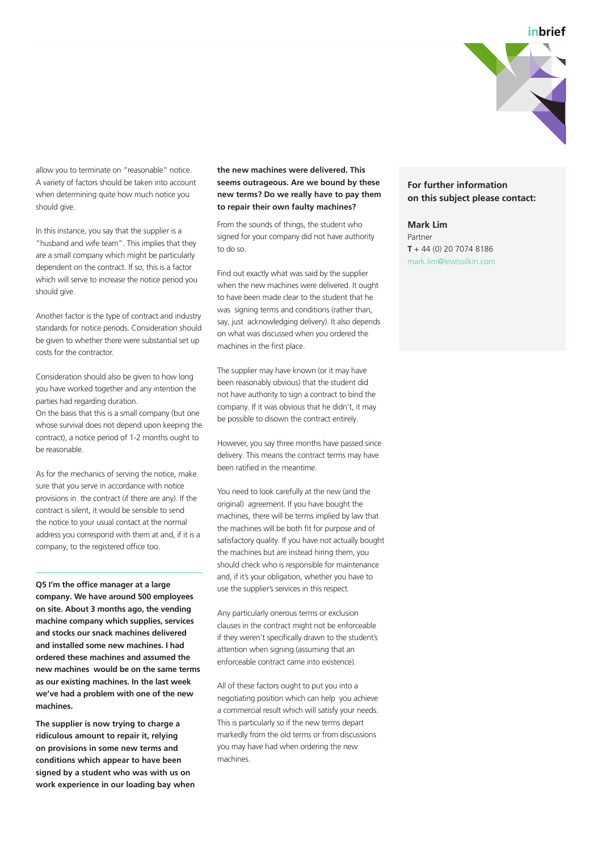

allow you to terminate on "reasonable" notice. A variety of factors should be taken into account when determining quite how much notice you should give.

In this instance, you say that the supplier is a "husband and wife team". This implies that they are a small company which might be particularly dependent on the contract. If so, this is a factor which will serve to increase the notice period you should give.

Another factor is the type of contract and industry standards for notice periods. Consideration should be given to whether there were substantial set up costs for the contractor.

Consideration should also be given to how long you have worked together and any intention the parties had regarding duration.

On the basis that this is a small company (but one whose survival does not depend upon keeping the contract), a notice period of 1-2 months ought to be reasonable.

As for the mechanics of serving the notice, make sure that you serve in accordance with notice provisions in the contract (if there are any). If the contract is silent, it would be sensible to send the notice to your usual contact at the normal address you correspond with them at and, if it is a company, to the registered office too.

**Q5 I'm the office manager at a large company. We have around 500 employees on site. About 3 months ago, the vending machine company which supplies, services and stocks our snack machines delivered and installed some new machines. I had ordered these machines and assumed the new machines would be on the same terms as our existing machines. In the last week we've had a problem with one of the new machines.**

**The supplier is now trying to charge a ridiculous amount to repair it, relying on provisions in some new terms and conditions which appear to have been signed by a student who was with us on work experience in our loading bay when** 

#### **the new machines were delivered. This seems outrageous. Are we bound by these new terms? Do we really have to pay them to repair their own faulty machines?**

From the sounds of things, the student who signed for your company did not have authority to do so.

Find out exactly what was said by the supplier when the new machines were delivered. It ought to have been made clear to the student that he was signing terms and conditions (rather than, say, just acknowledging delivery). It also depends on what was discussed when you ordered the machines in the first place.

The supplier may have known (or it may have been reasonably obvious) that the student did not have authority to sign a contract to bind the company. If it was obvious that he didn't, it may be possible to disown the contract entirely.

However, you say three months have passed since delivery. This means the contract terms may have been ratified in the meantime.

You need to look carefully at the new (and the original) agreement. If you have bought the machines, there will be terms implied by law that the machines will be both fit for purpose and of satisfactory quality. If you have not actually bought the machines but are instead hiring them, you should check who is responsible for maintenance and, if it's your obligation, whether you have to use the supplier's services in this respect.

Any particularly onerous terms or exclusion clauses in the contract might not be enforceable if they weren't specifically drawn to the student's attention when signing (assuming that an enforceable contract came into existence).

All of these factors ought to put you into a negotiating position which can help you achieve a commercial result which will satisfy your needs. This is particularly so if the new terms depart markedly from the old terms or from discussions you may have had when ordering the new machines.

## **For further information on this subject please contact:**

**Mark Lim**  Partner **T** + 44 (0) 20 7074 8186 mark.lim@lewissilkin.com